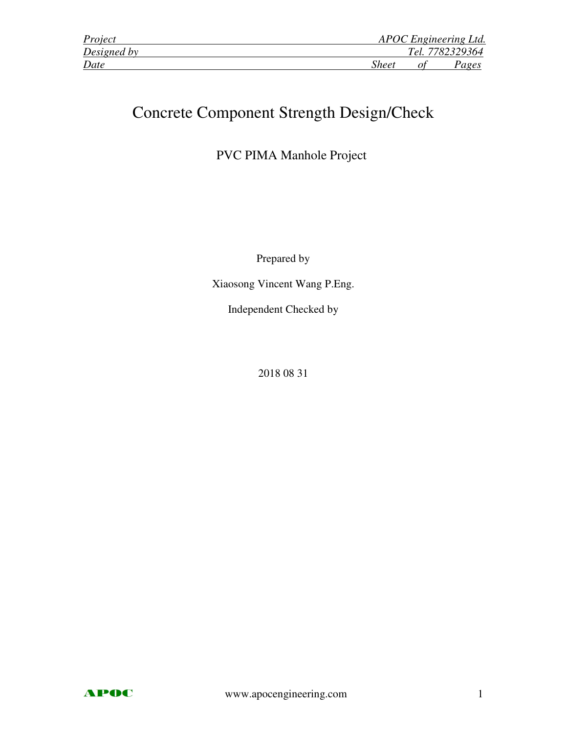| Project     | APOC Engineering Ltd. |
|-------------|-----------------------|
| Designed by | Tel. 7782329364       |
| Date        | <b>Sheet</b><br>Pages |

# Concrete Component Strength Design/Check

PVC PIMA Manhole Project

Prepared by

Xiaosong Vincent Wang P.Eng.

Independent Checked by

2018 08 31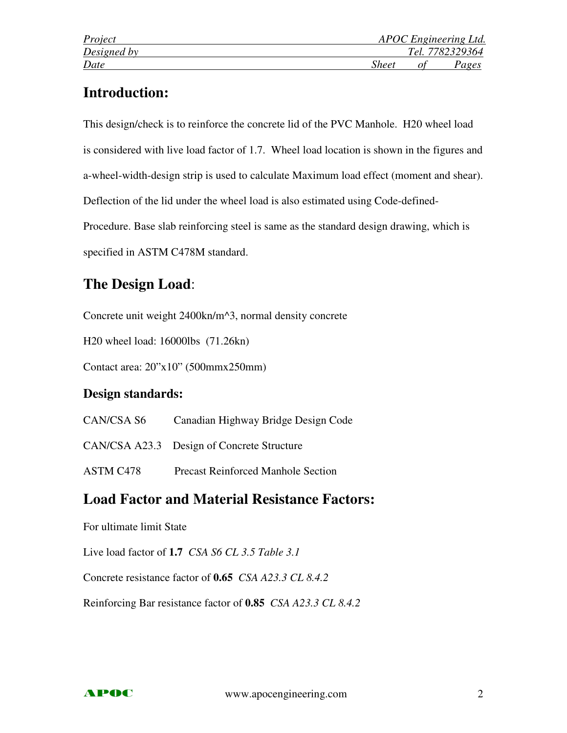# **Introduction:**

This design/check is to reinforce the concrete lid of the PVC Manhole. H20 wheel load is considered with live load factor of 1.7. Wheel load location is shown in the figures and a-wheel-width-design strip is used to calculate Maximum load effect (moment and shear). Deflection of the lid under the wheel load is also estimated using Code-defined-Procedure. Base slab reinforcing steel is same as the standard design drawing, which is specified in ASTM C478M standard.

# **The Design Load**:

Concrete unit weight 2400kn/m^3, normal density concrete

H20 wheel load: 16000lbs (71.26kn)

Contact area: 20"x10" (500mmx250mm)

## **Design standards:**

| Canadian Highway Bridge Design Code |
|-------------------------------------|
|-------------------------------------|

CAN/CSA A23.3 Design of Concrete Structure

ASTM C478 Precast Reinforced Manhole Section

# **Load Factor and Material Resistance Factors:**

For ultimate limit State

Live load factor of **1.7** *CSA S6 CL 3.5 Table 3.1*

Concrete resistance factor of **0.65** *CSA A23.3 CL 8.4.2*

Reinforcing Bar resistance factor of **0.85** *CSA A23.3 CL 8.4.2* 

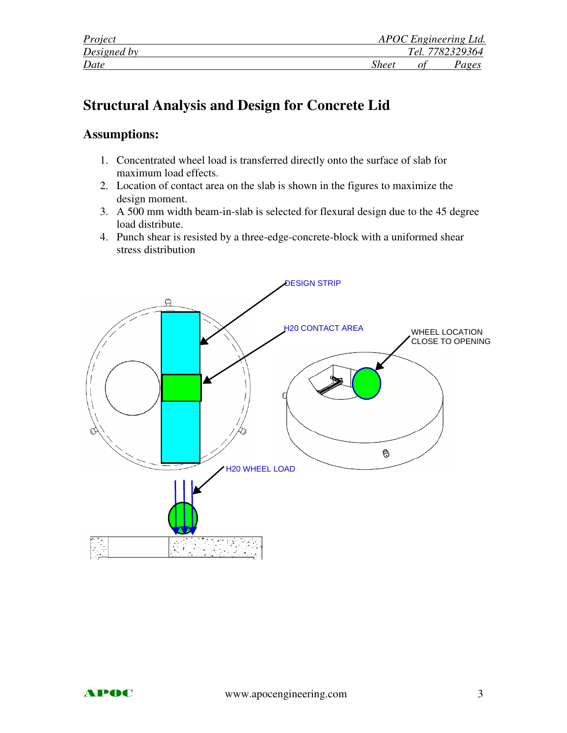| Project     |       | APOC Engineering Ltd. |
|-------------|-------|-----------------------|
| Designed by |       | Tel. 7782329364       |
| Date        | Sheet | Pages                 |

# **Structural Analysis and Design for Concrete Lid**

## **Assumptions:**

- 1. Concentrated wheel load is transferred directly onto the surface of slab for maximum load effects.
- 2. Location of contact area on the slab is shown in the figures to maximize the design moment.
- 3. A 500 mm width beam-in-slab is selected for flexural design due to the 45 degree load distribute.
- 4. Punch shear is resisted by a three-edge-concrete-block with a uniformed shear stress distribution

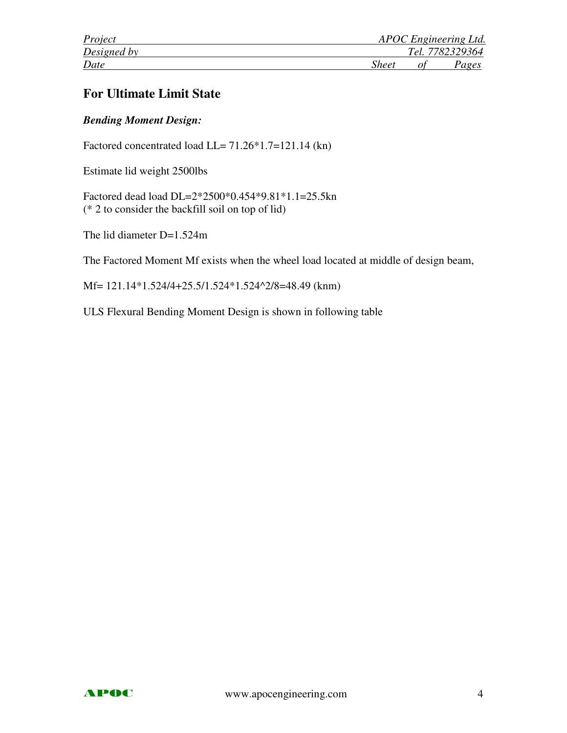| Project     | APOC Engineering Ltd. |
|-------------|-----------------------|
| Designed by | Tel. 7782329364       |
| Date        | Sheet<br>Pages        |

## **For Ultimate Limit State**

### *Bending Moment Design:*

Factored concentrated load LL= 71.26\*1.7=121.14 (kn)

Estimate lid weight 2500lbs

Factored dead load DL=2\*2500\*0.454\*9.81\*1.1=25.5kn (\* 2 to consider the backfill soil on top of lid)

The lid diameter D=1.524m

The Factored Moment Mf exists when the wheel load located at middle of design beam,

Mf= 121.14\*1.524/4+25.5/1.524\*1.524^2/8=48.49 (knm)

ULS Flexural Bending Moment Design is shown in following table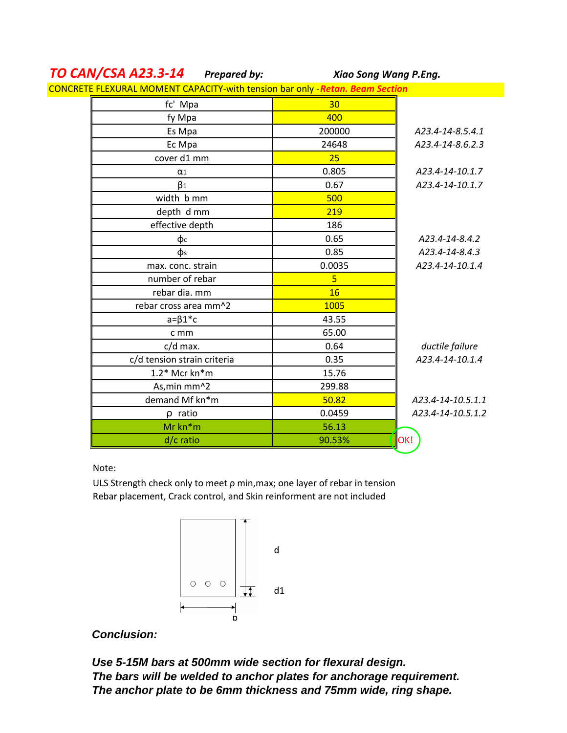| TU CAIV/CJA AZJ.J-14                                                          | Preparea by:    | AIGO SONG WANG P.ENG. |
|-------------------------------------------------------------------------------|-----------------|-----------------------|
| CONCRETE FLEXURAL MOMENT CAPACITY-with tension bar only - Retan. Beam Section |                 |                       |
| fc' Mpa                                                                       | 30 <sub>2</sub> |                       |
| fy Mpa                                                                        | 400             |                       |
| Es Mpa                                                                        | 200000          | A23.4-14-8.5.4.1      |
| Ec Mpa                                                                        | 24648           | A23.4-14-8.6.2.3      |
| cover d1 mm                                                                   | 25              |                       |
| $\alpha_1$                                                                    | 0.805           | A23.4-14-10.1.7       |
| $\beta_1$                                                                     | 0.67            | A23.4-14-10.1.7       |
| width b mm                                                                    | 500             |                       |
| depth d mm                                                                    | 219             |                       |
| effective depth                                                               | 186             |                       |
| фс                                                                            | 0.65            | A23.4-14-8.4.2        |
| $\Phi$ s                                                                      | 0.85            | A23.4-14-8.4.3        |
| max. conc. strain                                                             | 0.0035          | A23.4-14-10.1.4       |
| number of rebar                                                               | 5               |                       |
| rebar dia. mm                                                                 | 16              |                       |
| rebar cross area mm^2                                                         | 1005            |                       |
| $a = \beta 1$ <sup>*</sup> c                                                  | 43.55           |                       |
| c mm                                                                          | 65.00           |                       |
| c/d max.                                                                      | 0.64            | ductile failure       |
| c/d tension strain criteria                                                   | 0.35            | A23.4-14-10.1.4       |
| 1.2* Mcr kn*m                                                                 | 15.76           |                       |
| As, min mm^2                                                                  | 299.88          |                       |
| demand Mf kn*m                                                                | 50.82           | A23.4-14-10.5.1.1     |
| $\rho$ ratio                                                                  | 0.0459          | A23.4-14-10.5.1.2     |
| Mr kn*m                                                                       | 56.13           |                       |
| d/c ratio                                                                     | 90.53%          | OK!                   |
|                                                                               |                 |                       |

*Xiao Song Wang P.Eng.*

# *TO CAN/CSA A23.3-14 Prepared by:*

Note:

ULS Strength check only to meet ρ min,max; one layer of rebar in tension Rebar placement, Crack control, and Skin reinforment are not included



### **Conclusion:**

**Use 5-15M bars at 500mm wide section for flexural design. The bars will be welded to anchor plates for anchorage requirement. The anchor plate to be 6mm thickness and 75mm wide, ring shape.**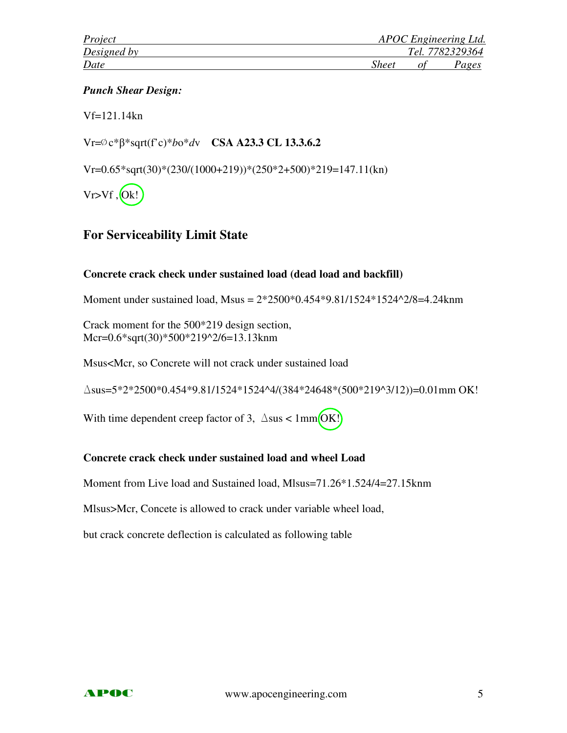#### *Punch Shear Design:*

Vf=121.14kn

Vr=∅c\*β\*sqrt(f'c)\**b*o\**d*v **CSA A23.3 CL 13.3.6.2**

Vr=0.65\*sqrt(30)\*(230/(1000+219))\*(250\*2+500)\*219=147.11(kn)

 $Vr>Vf$ ,  $Ok!$ 

### **For Serviceability Limit State**

#### **Concrete crack check under sustained load (dead load and backfill)**

Moment under sustained load, Msus = 2\*2500\*0.454\*9.81/1524\*1524^2/8=4.24knm

Crack moment for the 500\*219 design section, Mcr=0.6\*sqrt(30)\*500\*219^2/6=13.13knm

Msus<Mcr, so Concrete will not crack under sustained load

 $\Delta$ sus=5\*2\*2500\*0.454\*9.81/1524\*1524^4/(384\*24648\*(500\*219^3/12))=0.01mm OK!

With time dependent creep factor of 3,  $\Delta$ sus < 1mm $[OK!]$ 

### **Concrete crack check under sustained load and wheel Load**

Moment from Live load and Sustained load, Mlsus=71.26\*1.524/4=27.15knm

Mlsus>Mcr, Concete is allowed to crack under variable wheel load,

but crack concrete deflection is calculated as following table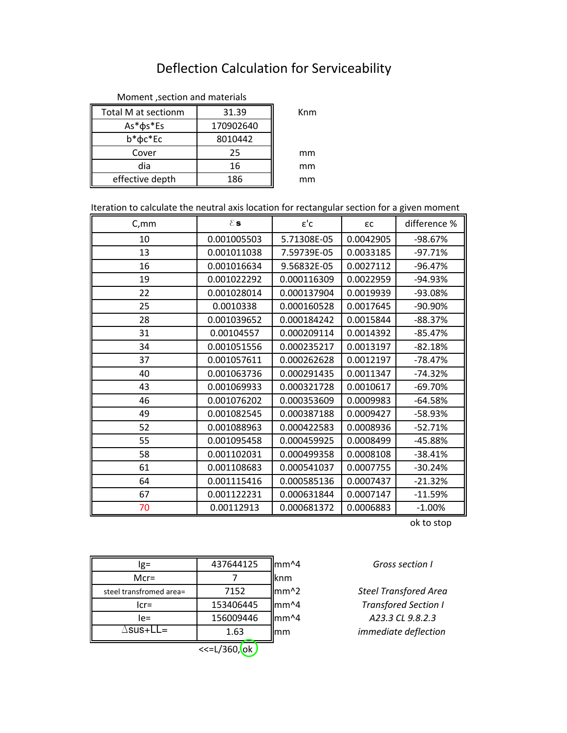# Deflection Calculation for Serviceability

| Total M at sectionm | 31.39     | Knm |
|---------------------|-----------|-----|
| As* $\phi$ s*Es     | 170902640 |     |
| $b^*\phi c^*Ec$     | 8010442   |     |
| Cover               | 25        | mm  |
| dia                 | 16        | mm  |
| effective depth     | 186       | mm  |

#### Moment ,section and materials

| Iteration to calculate the neutral axis location for rectangular section for a given moment |  |  |
|---------------------------------------------------------------------------------------------|--|--|
|                                                                                             |  |  |

| C, mm | $\epsilon$ s | $\epsilon$ 'c | εc        | difference % |
|-------|--------------|---------------|-----------|--------------|
| 10    | 0.001005503  | 5.71308E-05   | 0.0042905 | -98.67%      |
| 13    | 0.001011038  | 7.59739E-05   | 0.0033185 | $-97.71%$    |
| 16    | 0.001016634  | 9.56832E-05   | 0.0027112 | $-96.47%$    |
| 19    | 0.001022292  | 0.000116309   | 0.0022959 | -94.93%      |
| 22    | 0.001028014  | 0.000137904   | 0.0019939 | -93.08%      |
| 25    | 0.0010338    | 0.000160528   | 0.0017645 | -90.90%      |
| 28    | 0.001039652  | 0.000184242   | 0.0015844 | $-88.37%$    |
| 31    | 0.00104557   | 0.000209114   | 0.0014392 | $-85.47%$    |
| 34    | 0.001051556  | 0.000235217   | 0.0013197 | $-82.18%$    |
| 37    | 0.001057611  | 0.000262628   | 0.0012197 | $-78.47%$    |
| 40    | 0.001063736  | 0.000291435   | 0.0011347 | $-74.32%$    |
| 43    | 0.001069933  | 0.000321728   | 0.0010617 | $-69.70%$    |
| 46    | 0.001076202  | 0.000353609   | 0.0009983 | $-64.58%$    |
| 49    | 0.001082545  | 0.000387188   | 0.0009427 | -58.93%      |
| 52    | 0.001088963  | 0.000422583   | 0.0008936 | $-52.71%$    |
| 55    | 0.001095458  | 0.000459925   | 0.0008499 | -45.88%      |
| 58    | 0.001102031  | 0.000499358   | 0.0008108 | $-38.41%$    |
| 61    | 0.001108683  | 0.000541037   | 0.0007755 | $-30.24%$    |
| 64    | 0.001115416  | 0.000585136   | 0.0007437 | $-21.32%$    |
| 67    | 0.001122231  | 0.000631844   | 0.0007147 | $-11.59%$    |
| 70    | 0.00112913   | 0.000681372   | 0.0006883 | $-1.00%$     |

ok to stop

*Gross section I*

*immediate deflection A23.3 CL 9.8.2.3 Transfored Section I Steel Transfored Area*

| lg=                     | 437644125    | mm <sup>^4</sup> |
|-------------------------|--------------|------------------|
| $Mcr =$                 |              | knm              |
| steel transfromed area= | 7152         | mm <sup>^2</sup> |
| $lcr=$                  | 153406445    | mm <sup>^4</sup> |
| le=                     | 156009446    | mm^4             |
| ∆sus∓LL=                | 1.63         | mm               |
|                         | <<=L/360, ok |                  |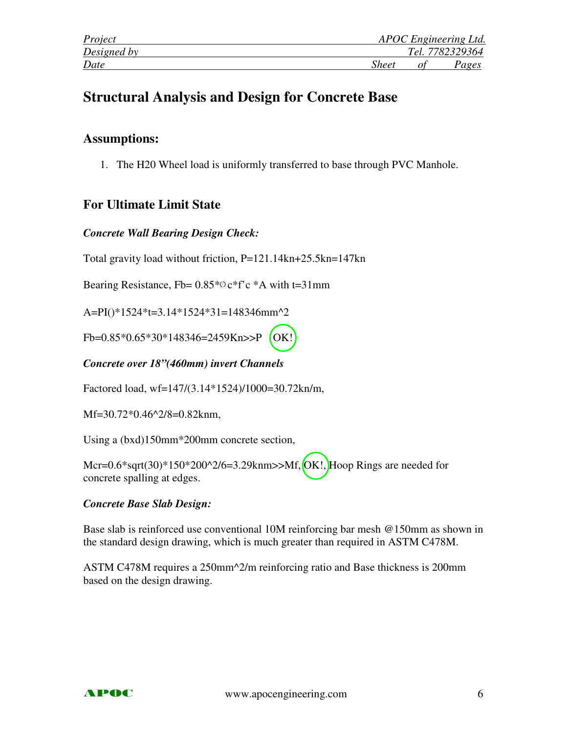| Project     | APOC Engineering Ltd. |
|-------------|-----------------------|
| Designed by | Tel. 7782329364       |
| Date        | Sheet<br>Pages        |

# **Structural Analysis and Design for Concrete Base**

### **Assumptions:**

1. The H20 Wheel load is uniformly transferred to base through PVC Manhole.

## **For Ultimate Limit State**

### *Concrete Wall Bearing Design Check:*

Total gravity load without friction, P=121.14kn+25.5kn=147kn

Bearing Resistance, Fb= 0.85\*∅c\*f'c \*A with t=31mm

A=PI()\*1524\*t=3.14\*1524\*31=148346mm^2

Fb=0.85\*0.65\*30\*148346=2459Kn>>P (OK!)

### *Concrete over 18"(460mm) invert Channels*

Factored load, wf=147/(3.14\*1524)/1000=30.72kn/m,

Mf=30.72\*0.46^2/8=0.82knm,

Using a (bxd)150mm\*200mm concrete section,

Mcr=0.6\*sqrt(30)\*150\*200^2/6=3.29knm>>Mf, OK!, Hoop Rings are needed for concrete spalling at edges.

### *Concrete Base Slab Design:*

Base slab is reinforced use conventional 10M reinforcing bar mesh @150mm as shown in the standard design drawing, which is much greater than required in ASTM C478M.

ASTM C478M requires a 250mm^2/m reinforcing ratio and Base thickness is 200mm based on the design drawing.